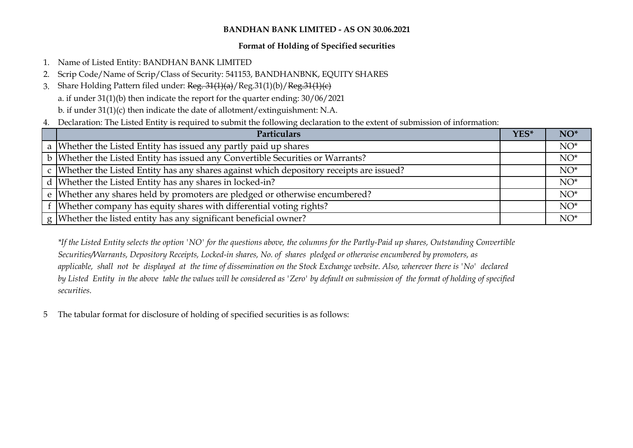## **Format of Holding of Specified securities**

- 1. Name of Listed Entity: BANDHAN BANK LIMITED
- 2. Scrip Code/Name of Scrip/Class of Security: 541153, BANDHANBNK, EQUITY SHARES
- 3. Share Holding Pattern filed under: Reg. 31(1)(a)/Reg.31(1)(b)/Reg.31(1)(c) a. if under 31(1)(b) then indicate the report for the quarter ending: 30/06/2021 b. if under 31(1)(c) then indicate the date of allotment/extinguishment: N.A.
- 4. Declaration: The Listed Entity is required to submit the following declaration to the extent of submission of information:

| <b>Particulars</b>                                                                       |  |        |  |  |  |  |  |
|------------------------------------------------------------------------------------------|--|--------|--|--|--|--|--|
| a Whether the Listed Entity has issued any partly paid up shares                         |  | $NO^*$ |  |  |  |  |  |
| <b>b</b> Whether the Listed Entity has issued any Convertible Securities or Warrants?    |  | $NO^*$ |  |  |  |  |  |
| c Whether the Listed Entity has any shares against which depository receipts are issued? |  | $NO^*$ |  |  |  |  |  |
| d Whether the Listed Entity has any shares in locked-in?                                 |  | $NO^*$ |  |  |  |  |  |
| e Whether any shares held by promoters are pledged or otherwise encumbered?              |  | $NO^*$ |  |  |  |  |  |
| f   Whether company has equity shares with differential voting rights?                   |  | $NO^*$ |  |  |  |  |  |
| g Whether the listed entity has any significant beneficial owner?                        |  | $NO^*$ |  |  |  |  |  |

*\*If the Listed Entity selects the option 'NO' for the questions above, the columns for the Partly-Paid up shares, Outstanding Convertible Securities/Warrants, Depository Receipts, Locked-in shares, No. of shares pledged or otherwise encumbered by promoters, as applicable, shall not be displayed at the time of dissemination on the Stock Exchange website. Also, wherever there is 'No' declared by Listed Entity in the above table the values will be considered as 'Zero' by default on submission of the format of holding of specified securities.*

5 The tabular format for disclosure of holding of specified securities is as follows: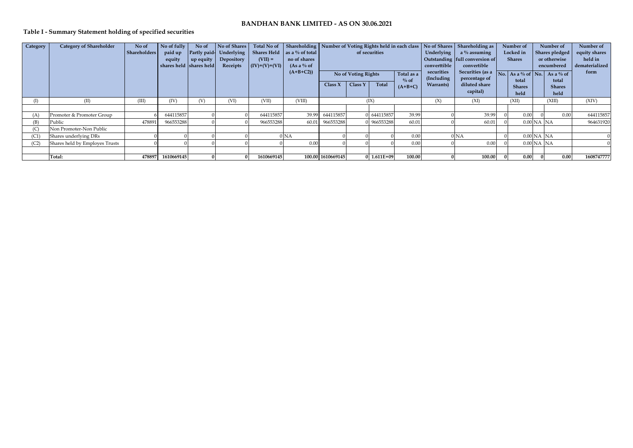## **Table I - Summary Statement holding of specified securities**

| Category | <b>Category of Shareholder</b> | No of               | No of fully             | No of     | No of Shares            |                 |                             |                   |                     |               |            |                           | Total No of Shareholding Number of Voting Rights held in each class No of Shares Shareholding as | Number of         |                | Number of      | Number of      |
|----------|--------------------------------|---------------------|-------------------------|-----------|-------------------------|-----------------|-----------------------------|-------------------|---------------------|---------------|------------|---------------------------|--------------------------------------------------------------------------------------------------|-------------------|----------------|----------------|----------------|
|          |                                | <b>Shareholders</b> | paid up                 |           | Partly paid- Underlying |                 | Shares Held as a % of total |                   |                     | of securities |            | <b>Underlying</b>         | $a\%$ assuming                                                                                   | Locked in         |                | Shares pledged | equity shares  |
|          |                                |                     | equity                  | up equity | Depository              | $(VII) =$       | no of shares                |                   |                     |               |            |                           | Outstanding full conversion of                                                                   | <b>Shares</b>     |                | or otherwise   | held in        |
|          |                                |                     | shares held shares held |           | Receipts                | $(IV)+(V)+(VI)$ | (As a $\%$ of               |                   |                     |               |            | converttible              | convertible                                                                                      |                   |                | encumbered     | dematerialized |
|          |                                |                     |                         |           |                         |                 | $(A+B+C2)$                  |                   | No of Voting Rights |               | Total as a | securities<br>(Including) | Securities (as a                                                                                 | No. As a % of No. |                | As a % of      | form           |
|          |                                |                     |                         |           |                         |                 |                             | Class $X$         | Class Y             | Total         | $\%$ of    | Warrants)                 | percentage of<br>diluted share                                                                   | total             |                | total          |                |
|          |                                |                     |                         |           |                         |                 |                             |                   |                     |               | $(A+B+C)$  |                           | capital)                                                                                         | <b>Shares</b>     |                | <b>Shares</b>  |                |
|          |                                |                     |                         |           |                         |                 |                             |                   |                     |               |            |                           |                                                                                                  | held              |                | held           |                |
| (I)      | (II)                           | (III)               | (IV)                    | (V)       | (VI)                    | (VII)           | (VIII)                      |                   |                     | (IX)          |            | (X)                       | (XI)                                                                                             | (XII)             |                | (XIII)         | (XIV)          |
|          |                                |                     |                         |           |                         |                 |                             |                   |                     |               |            |                           |                                                                                                  |                   |                |                |                |
| (A)      | Promoter & Promoter Group      |                     | 644115857               |           |                         | 644115857       | 39.99                       | 644115857         |                     | 0 644115857   | 39.99      |                           | 39.99                                                                                            | 0.00              |                | 0.00           | 644115857      |
| (B)      | Public                         | 478891              | 966553288               |           |                         | 966553288       | 60.01                       | 966553288         |                     | 0 966553288   | 60.01      |                           | 60.01                                                                                            |                   | $0.00$ NA $NA$ |                | 964631920      |
| (C)      | Non Promoter-Non Public        |                     |                         |           |                         |                 |                             |                   |                     |               |            |                           |                                                                                                  |                   |                |                |                |
| (C1)     | Shares underlying DRs          |                     |                         |           |                         |                 | 0 <sub>NA</sub>             |                   |                     |               | 0.00       |                           | 0 <sub>NA</sub>                                                                                  |                   | $0.00$ NA NA   |                |                |
| (C2)     | Shares held by Employes Trusts |                     |                         |           |                         |                 | 0.00                        |                   |                     |               | 0.00       |                           | 0.00                                                                                             |                   | $0.00$ NA NA   |                |                |
|          |                                |                     |                         |           |                         |                 |                             |                   |                     |               |            |                           |                                                                                                  |                   |                |                |                |
|          | Total:                         | 478897              | 1610669145              |           |                         | 1610669145      |                             | 100.00 1610669145 |                     | 0 1.611E+09   | 100.00     |                           | 100.00                                                                                           | 0.00              |                | 0.00           | 1608747777     |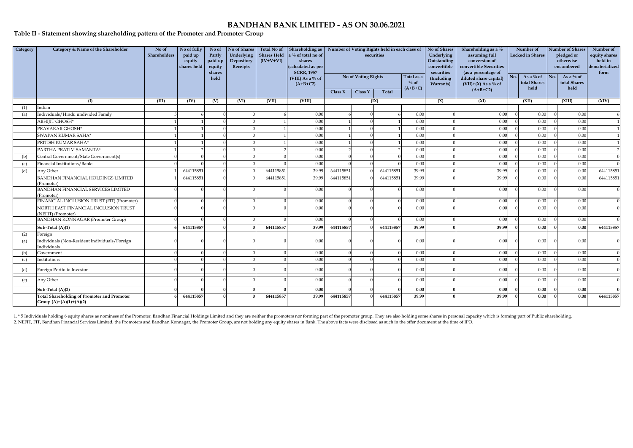#### **Table II - Statement showing shareholding pattern of the Promoter and Promoter Group**

| Category | Category & Name of the Shareholder                                              | No of<br>Shareholders | No of fully<br>paid up<br>equity<br>shares held | No of<br>Partly<br>paid-up<br>equity<br>shares<br>held | No of Shares<br>Underlying<br>Depository<br>Receipts | Total No of<br>$(IV+V+VI)$ | Shareholding as<br>Shares Held a % of total no of<br>shares<br>(calculated as per<br><b>SCRR, 1957</b><br>(VIII) As a % of<br>$(A+B+C2)$ | Number of Voting Rights held in each class of<br>securities<br>No of Voting Rights<br>Total as a<br>$\%$ of<br>$(A+B+C)$<br>Class Y<br><b>Total</b><br>Class $X$ |  |           | No of Shares<br>Underlying<br>Outstanding<br>converttible<br>securities<br>(Including<br>Warrants) | Shareholding as a %<br>assuming full<br>conversion of<br>convertible Securities<br>(as a percentage of<br>diluted share capital)<br>$(VII)+(X)$ As a % of<br>$(A+B+C2)$ | No.   | Number of<br><b>Locked in Shares</b><br>As a $\%$ of<br>total Shares<br>held | <b>Number of Shares</b><br>pledged or<br>otherwise<br>encumbered<br>$\blacksquare$ No.<br>As a % of<br>total Shares<br>held |  | Number of<br>equity shares<br>held in<br>dematerialized<br>form |                |
|----------|---------------------------------------------------------------------------------|-----------------------|-------------------------------------------------|--------------------------------------------------------|------------------------------------------------------|----------------------------|------------------------------------------------------------------------------------------------------------------------------------------|------------------------------------------------------------------------------------------------------------------------------------------------------------------|--|-----------|----------------------------------------------------------------------------------------------------|-------------------------------------------------------------------------------------------------------------------------------------------------------------------------|-------|------------------------------------------------------------------------------|-----------------------------------------------------------------------------------------------------------------------------|--|-----------------------------------------------------------------|----------------|
|          | (I)                                                                             | (III)                 | (IV)                                            | (V)                                                    | (VI)                                                 | (VII)                      | (VIII)                                                                                                                                   |                                                                                                                                                                  |  | (IX)      |                                                                                                    | (X)                                                                                                                                                                     | (XI)  |                                                                              | (XII)                                                                                                                       |  | (XIII)                                                          | (XIV)          |
| (1)      | Indian                                                                          |                       |                                                 |                                                        |                                                      |                            |                                                                                                                                          |                                                                                                                                                                  |  |           |                                                                                                    |                                                                                                                                                                         |       |                                                                              |                                                                                                                             |  |                                                                 |                |
| (a)      | Individuals/Hindu undivided Family                                              |                       |                                                 |                                                        |                                                      |                            | 0.00                                                                                                                                     |                                                                                                                                                                  |  |           | 0.00                                                                                               |                                                                                                                                                                         | 0.00  |                                                                              | 0.00                                                                                                                        |  | 0.00                                                            | 6              |
|          | ABHIJIT GHOSH*                                                                  |                       |                                                 |                                                        |                                                      |                            | 0.00                                                                                                                                     |                                                                                                                                                                  |  |           | 0.00                                                                                               |                                                                                                                                                                         | 0.00  |                                                                              | 0.00                                                                                                                        |  | 0.00                                                            |                |
|          | PRAVAKAR GHOSH*                                                                 |                       |                                                 |                                                        |                                                      |                            | 0.00                                                                                                                                     |                                                                                                                                                                  |  |           | 0.00                                                                                               |                                                                                                                                                                         | 0.00  |                                                                              | 0.00                                                                                                                        |  | 0.00                                                            |                |
|          | SWAPAN KUMAR SAHA*                                                              |                       |                                                 |                                                        |                                                      |                            | 0.00                                                                                                                                     |                                                                                                                                                                  |  |           | 0.00                                                                                               |                                                                                                                                                                         | 0.00  |                                                                              | 0.00                                                                                                                        |  | 0.00                                                            |                |
|          | PRITISH KUMAR SAHA*                                                             |                       |                                                 |                                                        |                                                      |                            | 0.00                                                                                                                                     |                                                                                                                                                                  |  |           | 0.00                                                                                               |                                                                                                                                                                         | 0.00  |                                                                              | 0.00                                                                                                                        |  | 0.00                                                            |                |
|          | PARTHA PRATIM SAMANTA*                                                          |                       |                                                 |                                                        |                                                      |                            | 0.00                                                                                                                                     |                                                                                                                                                                  |  |           | 0.00                                                                                               |                                                                                                                                                                         | 0.00  |                                                                              | 0.00                                                                                                                        |  | 0.00                                                            | $\overline{2}$ |
| (b)      | Central Government/State Government(s)                                          |                       |                                                 |                                                        |                                                      |                            | 0.00                                                                                                                                     |                                                                                                                                                                  |  |           | 0.00                                                                                               |                                                                                                                                                                         | 0.00  |                                                                              | 0.00                                                                                                                        |  | 0.00                                                            | $\overline{0}$ |
| (c)      | Financial Institutions/Banks                                                    |                       |                                                 |                                                        |                                                      |                            | 0.00                                                                                                                                     |                                                                                                                                                                  |  |           | 0.00                                                                                               |                                                                                                                                                                         | 0.00  |                                                                              | 0.00                                                                                                                        |  | 0.00                                                            | $\Omega$       |
| (d)      | Any Other                                                                       |                       | 644115851                                       |                                                        |                                                      | 644115851                  | 39.99                                                                                                                                    | 644115851                                                                                                                                                        |  | 644115851 | 39.99                                                                                              |                                                                                                                                                                         | 39.99 |                                                                              | 0.00                                                                                                                        |  | 0.00                                                            | 644115851      |
|          | BANDHAN FINANCIAL HOLDINGS LIMITED<br>Promoter)                                 |                       | 644115851                                       |                                                        |                                                      | 644115851                  | 39.99                                                                                                                                    | 644115851                                                                                                                                                        |  | 644115851 | 39.99                                                                                              |                                                                                                                                                                         | 39.99 |                                                                              | 0.00                                                                                                                        |  | 0.00                                                            | 644115851      |
|          | <b>BANDHAN FINANCIAL SERVICES LIMITED</b><br>(Promoter)                         |                       |                                                 |                                                        |                                                      |                            | 0.00                                                                                                                                     |                                                                                                                                                                  |  |           | 0.00                                                                                               |                                                                                                                                                                         | 0.00  |                                                                              | 0.00                                                                                                                        |  | 0.00                                                            | $\Omega$       |
|          | FINANCIAL INCLUSION TRUST (FIT) (Promoter)                                      |                       |                                                 |                                                        |                                                      |                            | 0.00                                                                                                                                     |                                                                                                                                                                  |  |           | 0.00                                                                                               |                                                                                                                                                                         | 0.00  |                                                                              | 0.00                                                                                                                        |  | 0.00                                                            | $\overline{0}$ |
|          | NORTH EAST FINANCIAL INCLUSION TRUST<br>(NEFIT) (Promoter)                      |                       |                                                 |                                                        |                                                      |                            | 0.00                                                                                                                                     |                                                                                                                                                                  |  |           | 0.00                                                                                               |                                                                                                                                                                         | 0.00  |                                                                              | 0.00                                                                                                                        |  | 0.00                                                            | $\Omega$       |
|          | <b>BANDHAN KONNAGAR (Promoter Group)</b>                                        |                       |                                                 |                                                        |                                                      |                            | 0.00                                                                                                                                     |                                                                                                                                                                  |  |           | 0.00                                                                                               |                                                                                                                                                                         | 0.00  |                                                                              | 0.00                                                                                                                        |  | 0.00                                                            | $\Omega$       |
|          | $Sub-Total(A)(1)$                                                               |                       | 644115857                                       |                                                        |                                                      | 644115857                  | 39.99                                                                                                                                    | 644115857                                                                                                                                                        |  | 644115857 | 39.99                                                                                              |                                                                                                                                                                         | 39.99 |                                                                              | 0.00                                                                                                                        |  | 0.00                                                            | 644115857      |
| (2)      | Foreign                                                                         |                       |                                                 |                                                        |                                                      |                            |                                                                                                                                          |                                                                                                                                                                  |  |           |                                                                                                    |                                                                                                                                                                         |       |                                                                              |                                                                                                                             |  |                                                                 |                |
| (a)      | Individuals (Non-Resident Individuals/Foreign<br>Individuals                    |                       |                                                 |                                                        |                                                      |                            | 0.00                                                                                                                                     |                                                                                                                                                                  |  |           | 0.00                                                                                               |                                                                                                                                                                         | 0.00  |                                                                              | 0.00                                                                                                                        |  | 0.00                                                            | $\overline{0}$ |
| (b)      | Government                                                                      |                       |                                                 |                                                        |                                                      |                            | 0.00                                                                                                                                     |                                                                                                                                                                  |  |           | 0.00                                                                                               |                                                                                                                                                                         | 0.00  |                                                                              | 0.00                                                                                                                        |  | 0.00                                                            | $\overline{0}$ |
| (c)      | Institutions                                                                    |                       |                                                 |                                                        |                                                      |                            | 0.00                                                                                                                                     |                                                                                                                                                                  |  |           | 0.00                                                                                               |                                                                                                                                                                         | 0.00  |                                                                              | 0.00                                                                                                                        |  | 0.00                                                            | $\Omega$       |
| (d)      | Foreign Portfolio Investor                                                      |                       |                                                 |                                                        |                                                      |                            | 0.00                                                                                                                                     |                                                                                                                                                                  |  |           | 0.00                                                                                               |                                                                                                                                                                         | 0.00  |                                                                              | 0.00                                                                                                                        |  | 0.00                                                            | $\overline{0}$ |
| (e)      | Any Other                                                                       |                       |                                                 |                                                        |                                                      |                            | 0.00                                                                                                                                     |                                                                                                                                                                  |  |           | 0.00                                                                                               |                                                                                                                                                                         | 0.00  |                                                                              | 0.00                                                                                                                        |  | 0.00                                                            | $\Omega$       |
|          | Sub-Total (A)(2)                                                                |                       |                                                 |                                                        |                                                      |                            | 0.00                                                                                                                                     |                                                                                                                                                                  |  |           | 0.00                                                                                               |                                                                                                                                                                         | 0.00  |                                                                              | 0.00                                                                                                                        |  | 0.00                                                            | $\Omega$       |
|          | <b>Total Shareholding of Promoter and Promoter</b><br>Group $(A)=(A)(1)+(A)(2)$ |                       | 644115857                                       |                                                        |                                                      | 644115857                  | 39.99                                                                                                                                    | 644115857                                                                                                                                                        |  | 644115857 | 39.99                                                                                              |                                                                                                                                                                         | 39.99 |                                                                              | 0.00                                                                                                                        |  | 0.00                                                            | 644115857      |

1.\*5 Individuals holding 6 equity shares as nominees of the Promoter, Bandhan Financial Holdings Limited and they are neither the promoters nor forming part of the promoter group. They are also holding some shares in perso 2. NEFIT, FIT, Bandhan Financial Services Limited, the Promoters and Bandhan Konnagar, the Promoter Group, are not holding any equity shares in Bank. The above facts were disclosed as such in the offer document at the time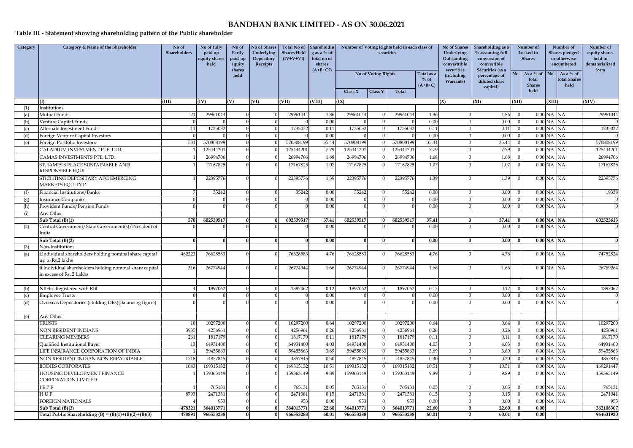## **Table III - Statement showing shareholding pattern of the Public shareholder**

| Category | Category & Name of the Shareholder                                                  | No of<br>Shareholders | No of fully<br>paid up<br>equity shares<br>held | No of<br>Partly<br>paid-up<br>equity<br>shares | <b>No of Shares</b><br>Underlying<br>Depository<br>Receipts | <b>Total No of</b><br><b>Shares Held</b><br>$(IV+V+VI)$ | Shareholdin<br>g as a $%$ of<br>total no of<br>shares<br>$(A+B+C2)$ | Number of Voting Rights held in each class of<br>securities |                     |           | No of Shares<br>Underlying<br>Outstanding<br>converttible<br>securities | Shareholding as a<br>% assuming full<br>conversion of<br>convertible<br>Securities (as a |                                            | Number of<br>Locked in<br><b>Shares</b> | Number of<br><b>Shares pledged</b><br>or otherwise<br>encumbered | Number of<br>equity shares<br>held in<br>dematerialized<br>form |             |
|----------|-------------------------------------------------------------------------------------|-----------------------|-------------------------------------------------|------------------------------------------------|-------------------------------------------------------------|---------------------------------------------------------|---------------------------------------------------------------------|-------------------------------------------------------------|---------------------|-----------|-------------------------------------------------------------------------|------------------------------------------------------------------------------------------|--------------------------------------------|-----------------------------------------|------------------------------------------------------------------|-----------------------------------------------------------------|-------------|
|          |                                                                                     |                       |                                                 | held                                           |                                                             |                                                         |                                                                     | Class $X$                                                   | No of Voting Rights |           | Total as a<br>$\%$ of<br>$(A+B+C)$                                      | (Including<br><b>Warrants</b> )                                                          | percentage of<br>diluted share<br>capital) | No.                                     | As a $\%$ of<br>No.<br>total<br><b>Shares</b><br>held            | As a $\%$ of<br>total Shares<br>held                            |             |
|          |                                                                                     |                       |                                                 |                                                |                                                             |                                                         |                                                                     |                                                             | Class Y             | Total     |                                                                         |                                                                                          |                                            |                                         |                                                                  |                                                                 |             |
| (1)      | Institutions                                                                        | (III)                 | (IV)                                            | (V)                                            | (VI)                                                        | (VII)                                                   | (VIII)                                                              | (IX)                                                        |                     |           |                                                                         | (X)                                                                                      | (XI)                                       | (XII)                                   | (XIII)                                                           |                                                                 | <b>XIV)</b> |
| (a)      | Mutual Funds                                                                        | 21                    | 29961044                                        |                                                |                                                             | 29961044                                                | 1.86                                                                | 29961044                                                    |                     | 29961044  | 1.86                                                                    | $\Omega$                                                                                 | 1.86                                       |                                         | $0.00$ NA NA                                                     |                                                                 | 29961044    |
| (b)      | Venture Capital Funds                                                               |                       |                                                 |                                                |                                                             |                                                         | 0.00                                                                |                                                             |                     |           | 0.00                                                                    | $\Omega$                                                                                 | 0.00                                       |                                         | $0.00$ NA NA                                                     |                                                                 |             |
| (c)      | Alternate Investment Funds                                                          | 11                    | 1735032                                         |                                                |                                                             | 1735032                                                 | 0.11                                                                | 1735032                                                     |                     | 1735032   | 0.11                                                                    |                                                                                          | 0.11                                       |                                         | $0.00$ NA                                                        | NA                                                              | 1735032     |
| (d)      | <b>Foreign Venture Capital Investors</b>                                            |                       |                                                 |                                                |                                                             |                                                         | 0.00                                                                |                                                             |                     |           | 0.00                                                                    |                                                                                          | 0.00                                       |                                         | $0.00$ NA $\,$                                                   | NA                                                              |             |
| (e)      | Foreign Portfolio Investors                                                         | 531                   | 570808199                                       |                                                |                                                             | 570808199                                               | 35.44                                                               | 570808199                                                   |                     | 570808199 | 35.44                                                                   | $\Omega$                                                                                 | 35.44                                      |                                         | $0.00$ NA                                                        | NA                                                              | 570808199   |
|          | CALADIUM INVESTMENT PTE. LTD.                                                       |                       | 12544420                                        |                                                |                                                             | 125444201                                               | 7.79                                                                | 125444201                                                   |                     | 12544420  | 7.79                                                                    |                                                                                          | 7.79                                       |                                         | $0.00$ NA                                                        | NA                                                              | 125444201   |
|          | CAMAS INVESTMENTS PTE. LTD.                                                         |                       | 2699470                                         |                                                |                                                             | 2699470                                                 | 1.68                                                                | 26994706                                                    |                     | 26994706  | 1.68                                                                    | $\Omega$                                                                                 | 1.68                                       |                                         | $0.00$ NA                                                        | NA                                                              | 26994706    |
|          | ST. JAMES'S PLACE SUSTAINABLE AND                                                   |                       | 17167825                                        |                                                |                                                             | 17167825                                                | 1.07                                                                | 17167825                                                    |                     | 17167825  | 1.07                                                                    |                                                                                          | 1.07                                       |                                         | $0.00$ NA NA                                                     |                                                                 | 17167825    |
|          | RESPONSIBLE EQUI                                                                    |                       |                                                 |                                                |                                                             |                                                         |                                                                     |                                                             |                     |           |                                                                         |                                                                                          |                                            |                                         |                                                                  |                                                                 |             |
|          | STICHTING DEPOSITARY APG EMERGING<br>MARKETS EQUITY P                               |                       | 2239577                                         |                                                |                                                             | 22395776                                                | 1.39                                                                | 22395776                                                    |                     | 22395776  | 1.39                                                                    |                                                                                          | 1.39                                       |                                         | $0.00$ NA $NA$                                                   |                                                                 | 22395776    |
| (f)      | Financial Institutions/Banks                                                        |                       | 35242                                           |                                                | $\Omega$                                                    | 35242                                                   | 0.00                                                                | 35242                                                       |                     | 35242     | 0.00                                                                    | $\Omega$                                                                                 | 0.00                                       |                                         | $0.00$ NA NA                                                     |                                                                 | 19338       |
| (g)      | <b>Insurance Companies</b>                                                          |                       |                                                 |                                                |                                                             |                                                         | 0.00                                                                |                                                             |                     |           | 0.00                                                                    |                                                                                          | 0.00                                       |                                         | $0.00$ NA NA                                                     |                                                                 |             |
| (h)      | Provident Funds/Pension Funds                                                       |                       |                                                 |                                                |                                                             |                                                         | 0.00                                                                |                                                             |                     |           | 0.00                                                                    |                                                                                          | 0.00                                       |                                         | $0.00$ NA NA                                                     |                                                                 |             |
| (i)      | Any Other                                                                           |                       |                                                 |                                                |                                                             |                                                         |                                                                     |                                                             |                     |           |                                                                         |                                                                                          |                                            |                                         |                                                                  |                                                                 |             |
|          | Sub Total (B)(1)                                                                    | 570                   | 602539517                                       |                                                | $\Omega$                                                    | 602539517                                               | 37.41                                                               | 602539517                                                   |                     | 602539517 | 37.41                                                                   | $\Omega$                                                                                 | 37.41                                      |                                         | $0.00$ NA NA                                                     |                                                                 | 602523613   |
| (2)      | Central Government/State Government(s)/President of<br>India                        |                       |                                                 |                                                |                                                             |                                                         | 0.00                                                                |                                                             |                     |           | 0.00                                                                    |                                                                                          | 0.00                                       |                                         | $0.00$ NA NA                                                     |                                                                 |             |
|          | Sub Total (B)(2)                                                                    | $\Omega$              |                                                 |                                                | $\Omega$                                                    | $\Omega$                                                | 0.00                                                                | $\Omega$                                                    |                     |           | 0.00                                                                    | $\Omega$                                                                                 | 0.00                                       |                                         | $0.00$ NA NA                                                     |                                                                 |             |
| (3)      | Non-Institutions                                                                    |                       |                                                 |                                                |                                                             |                                                         |                                                                     |                                                             |                     |           |                                                                         |                                                                                          |                                            |                                         |                                                                  |                                                                 |             |
| (a)      | .Individual shareholders holding nominal share capital<br>up to Rs.2 lakhs          | 462223                | 76628583                                        |                                                |                                                             | 76628583                                                | 4.76                                                                | 76628583                                                    |                     | 76628583  | 4.76                                                                    |                                                                                          | 4.76                                       |                                         | $0.00$ NA NA                                                     |                                                                 | 74752824    |
|          | i.Individual shareholders holding nominal share capital<br>in excess of Rs. 2 Lakhs | 316                   | 26774944                                        |                                                |                                                             | 26774944                                                | 1.66                                                                | 26774944                                                    |                     | 26774944  | 1.66                                                                    |                                                                                          | 1.66                                       |                                         | $0.00$ NA NA                                                     |                                                                 | 26769264    |
| (b)      | NBFCs Registered with RBI                                                           |                       | 1897062                                         |                                                |                                                             | 1897062                                                 | 0.12                                                                | 1897062                                                     |                     | 1897062   | 0.12                                                                    |                                                                                          | 0.12                                       |                                         | $0.00$ NA NA                                                     |                                                                 | 1897062     |
| (c)      | <b>Employee Trusts</b>                                                              |                       |                                                 |                                                | $\Omega$                                                    |                                                         | 0.00                                                                | $\Omega$                                                    |                     |           | 0.00                                                                    | $\Omega$                                                                                 | 0.00                                       |                                         | $0.00$ NA NA                                                     |                                                                 |             |
| (d)      | Overseas Depositories (Holding DRs)(Balancing figure)                               |                       |                                                 |                                                |                                                             |                                                         | 0.00                                                                |                                                             |                     |           | 0.00                                                                    |                                                                                          | 0.00                                       |                                         | $0.00$ NA NA                                                     |                                                                 |             |
| (e)      | Any Other                                                                           |                       |                                                 |                                                |                                                             |                                                         |                                                                     |                                                             |                     |           |                                                                         |                                                                                          |                                            |                                         |                                                                  |                                                                 |             |
|          | <b>TRUSTS</b>                                                                       | 10                    | 10297200                                        |                                                | $\Omega$                                                    | 10297200                                                | 0.64                                                                | 10297200                                                    |                     | 10297200  | 0.64                                                                    | $\Omega$                                                                                 | 0.64                                       |                                         | $0.00$ NA $\,$ NA                                                |                                                                 | 10297200    |
|          | NON RESIDENT INDIANS                                                                | 3935                  | 4256961                                         |                                                |                                                             | 4256961                                                 | 0.26                                                                | 4256961                                                     |                     | 4256961   | 0.26                                                                    |                                                                                          | 0.26                                       |                                         | $0.00$ NA NA                                                     |                                                                 | 4256961     |
|          | <b>CLEARING MEMBERS</b>                                                             | 261                   | 1817179                                         |                                                |                                                             | 1817179                                                 | 0.11                                                                | 1817179                                                     |                     | 1817179   | 0.11                                                                    |                                                                                          | 0.11                                       |                                         | $0.00$ NA $NA$                                                   |                                                                 | 1817179     |
|          | Qualified Institutional Buyer                                                       | 13                    | 64931400                                        |                                                |                                                             | 64931400                                                | 4.03                                                                | 64931400                                                    |                     | 6493140   | 4.03                                                                    |                                                                                          | 4.03                                       |                                         | $0.00$ NA                                                        | NA                                                              | 64931400    |
|          | <b>LIFE INSURANCE CORPORATION OF INDIA</b>                                          |                       | 5945586                                         |                                                |                                                             | 59455863                                                | 3.69                                                                | 59455863                                                    |                     | 59455863  | 3.69                                                                    |                                                                                          | 3.69                                       |                                         | $0.00$ NA NA                                                     |                                                                 | 59455863    |
|          | NON RESIDENT INDIAN NON REPATRIABLE                                                 | 1718                  | 4857845                                         |                                                |                                                             | 4857845                                                 | 0.30                                                                | 4857845                                                     |                     | 4857845   | 0.30                                                                    |                                                                                          | 0.30                                       |                                         | $0.00$ NA NA                                                     |                                                                 | 4857845     |
|          | BODIES CORPORATES                                                                   | 1043                  | 16931513                                        |                                                |                                                             | 169315132                                               | 10.51                                                               | 169315132                                                   |                     | 16931513  | 10.51                                                                   | $\Omega$                                                                                 | 10.51                                      |                                         | $0.00$ NA                                                        | NA                                                              | 169291447   |
|          | HOUSING DEVELOPMENT FINANCE<br>CORPORATION LIMITED                                  |                       | 159363149                                       |                                                |                                                             | 159363149                                               | 9.89                                                                | 159363149                                                   |                     | 159363149 | 9.89                                                                    |                                                                                          | 9.89                                       |                                         | $0.00$ NA NA                                                     |                                                                 | 159363149   |
|          | <b>EPF</b>                                                                          |                       | 765131                                          |                                                |                                                             | 765131                                                  | 0.05                                                                | 765131                                                      |                     | 76513     | 0.05                                                                    |                                                                                          | 0.05                                       |                                         | $0.00$ NA $NA$                                                   |                                                                 | 765131      |
|          | HUF                                                                                 | 8793                  | 247138                                          |                                                |                                                             | 2471381                                                 | 0.15                                                                | 2471381                                                     |                     | 247138    | 0.15                                                                    |                                                                                          | 0.15                                       |                                         | $0.00$ NA                                                        | <b>NA</b>                                                       | 2471041     |
|          | FOREIGN NATIONALS                                                                   |                       | 953                                             |                                                |                                                             | 953                                                     | 0.00                                                                | 953                                                         |                     | 953       | 0.00                                                                    | $\Omega$                                                                                 | 0.00                                       |                                         | $0.00$ NA NA                                                     |                                                                 | 953         |
|          | Sub Total (B)(3)                                                                    | 478321                | 364013771                                       |                                                |                                                             | 364013771                                               | 22.60                                                               | 364013771                                                   |                     | 364013771 | 22.60                                                                   | $\Omega$                                                                                 | 22.60                                      |                                         | 0.00                                                             |                                                                 | 362108307   |
|          | Total Public Shareholding (B) = $(B)(1)+(B)(2)+(B)(3)$                              | 478891                | 966553288                                       |                                                |                                                             | 966553288                                               | 60.01                                                               | 966553288                                                   |                     | 966553288 | 60.01                                                                   |                                                                                          | 60.01                                      |                                         | 0.00                                                             |                                                                 | 964631920   |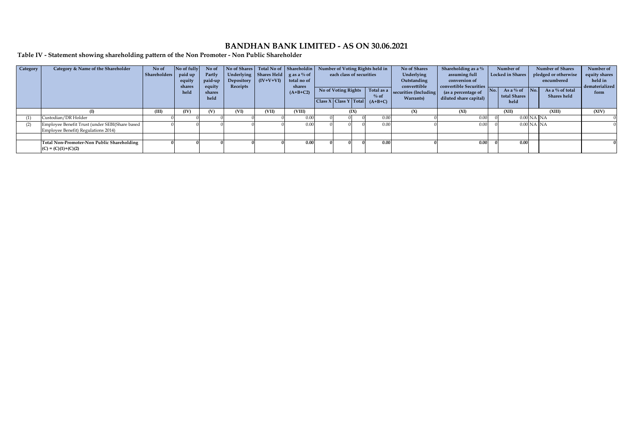**Table IV - Statement showing shareholding pattern of the Non Promoter - Non Public Shareholder**

| Category | Category & Name of the Shareholder                                                    | No of<br><b>Shareholders</b> | No of fully<br>paid up<br>equity<br>shares<br>held | No of<br>Partly<br>paid-up<br>equity<br>shares<br>held | No of Shares Total No of Shareholdin Number of Voting Rights held in<br>Depository  <br>Receipts | Underlying Shares Held $\gtrsim$ as a % of<br>$(IV+V+VI)$ | total no of<br>shares<br>$(A+B+C2)$ | each class of securities |      | No of Voting Rights Total as a<br>$%$ of<br>Class X Class Y Total $(A+B+C)$ | No of Shares<br>Underlying<br>Outstanding<br>converttible<br>securities (Including<br>Warrants) | Shareholding as a %<br>assuming full<br>conversion of<br>convertible Securities<br>(as a percentage of<br>diluted share capital) | No. | Number of<br>Locked in Shares<br>As a % of<br>total Shares<br>held | $\blacksquare$ No. | <b>Number of Shares</b><br>pledged or otherwise<br>encumbered<br>As a $%$ of total<br><b>Shares</b> held | Number of<br>equity shares<br>held in<br>dematerialized<br>form |
|----------|---------------------------------------------------------------------------------------|------------------------------|----------------------------------------------------|--------------------------------------------------------|--------------------------------------------------------------------------------------------------|-----------------------------------------------------------|-------------------------------------|--------------------------|------|-----------------------------------------------------------------------------|-------------------------------------------------------------------------------------------------|----------------------------------------------------------------------------------------------------------------------------------|-----|--------------------------------------------------------------------|--------------------|----------------------------------------------------------------------------------------------------------|-----------------------------------------------------------------|
|          |                                                                                       | (III)                        | (IV)                                               | (V)                                                    | (VI)                                                                                             | (VII)                                                     | (VIII)                              |                          | (IX) |                                                                             | (X)                                                                                             | (XI)                                                                                                                             |     | (XII)                                                              |                    | (XIII)                                                                                                   | (XIV)                                                           |
| (1)      | Custodian/DR Holder                                                                   |                              |                                                    |                                                        |                                                                                                  |                                                           | 0.00                                |                          |      | 0.00                                                                        |                                                                                                 | 0.00                                                                                                                             |     |                                                                    | $0.00$ NA NA       |                                                                                                          |                                                                 |
| (2)      | Employee Benefit Trust (under SEBI(Share based<br>Employee Benefit) Regulations 2014) |                              |                                                    |                                                        |                                                                                                  |                                                           | 0.00                                |                          |      | 0.00                                                                        |                                                                                                 | 0.00                                                                                                                             |     |                                                                    | $0.00$ NA NA       |                                                                                                          |                                                                 |
|          |                                                                                       |                              |                                                    |                                                        |                                                                                                  |                                                           |                                     |                          |      |                                                                             |                                                                                                 |                                                                                                                                  |     |                                                                    |                    |                                                                                                          |                                                                 |
|          | Total Non-Promoter-Non Public Shareholding<br>$(C) = (C)(1)+(C)(2)$                   |                              |                                                    |                                                        |                                                                                                  |                                                           | 0.00                                |                          |      | 0.00                                                                        |                                                                                                 | 0.00                                                                                                                             |     | 0.00                                                               |                    |                                                                                                          |                                                                 |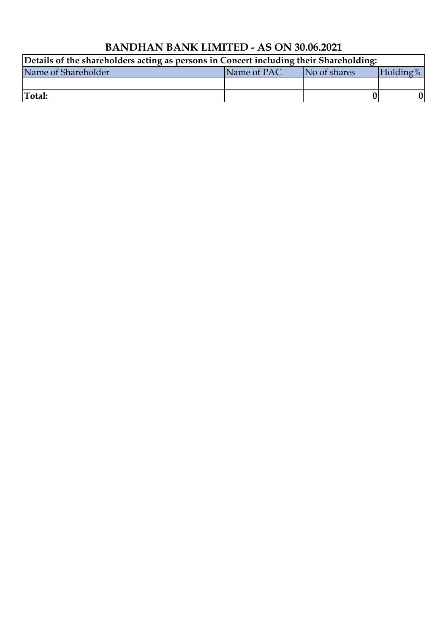| Details of the shareholders acting as persons in Concert including their Shareholding: |             |              |          |  |  |  |  |  |
|----------------------------------------------------------------------------------------|-------------|--------------|----------|--|--|--|--|--|
| Name of Shareholder                                                                    | Name of PAC | No of shares | Holding% |  |  |  |  |  |
|                                                                                        |             |              |          |  |  |  |  |  |
| Total:                                                                                 |             |              |          |  |  |  |  |  |